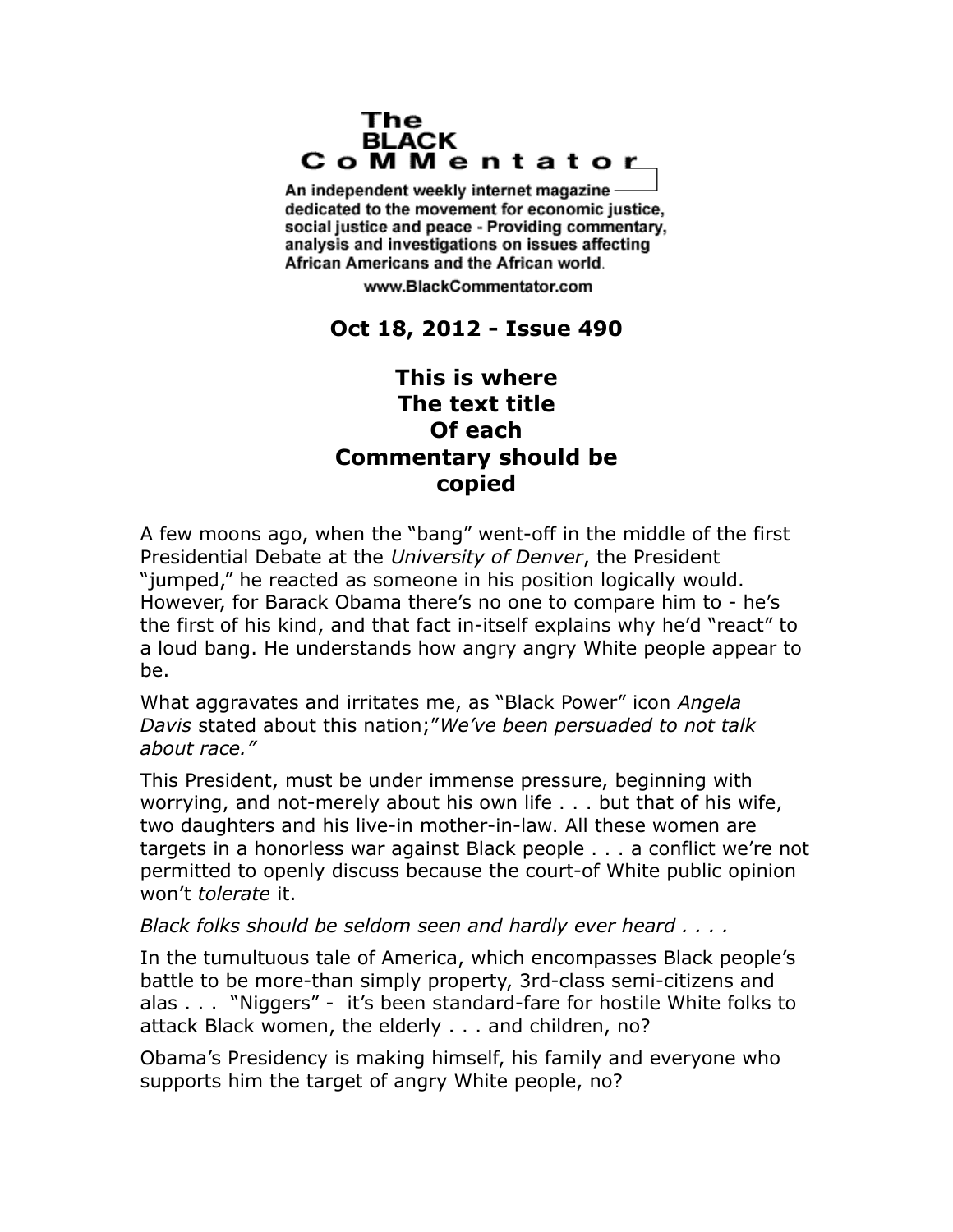## The **BLACK** CoMMentator

An independent weekly internet magazine dedicated to the movement for economic justice. social justice and peace - Providing commentary, analysis and investigations on issues affecting African Americans and the African world.

www.BlackCommentator.com

## **Oct 18, 2012 - Issue 490**

## **This is where The text title Of each Commentary should be copied**

A few moons ago, when the "bang" went-off in the middle of the first Presidential Debate at the *University of Denver*, the President "jumped," he reacted as someone in his position logically would. However, for Barack Obama there's no one to compare him to - he's the first of his kind, and that fact in-itself explains why he'd "react" to a loud bang. He understands how angry angry White people appear to be.

What aggravates and irritates me, as "Black Power" icon *Angela Davis* stated about this nation;"*We've been persuaded to not talk about race."*

This President, must be under immense pressure, beginning with worrying, and not-merely about his own life . . . but that of his wife, two daughters and his live-in mother-in-law. All these women are targets in a honorless war against Black people . . . a conflict we're not permitted to openly discuss because the court-of White public opinion won't *tolerate* it.

## *Black folks should be seldom seen and hardly ever heard . . . .*

In the tumultuous tale of America, which encompasses Black people's battle to be more-than simply property, 3rd-class semi-citizens and alas . . . "Niggers" - it's been standard-fare for hostile White folks to attack Black women, the elderly . . . and children, no?

Obama's Presidency is making himself, his family and everyone who supports him the target of angry White people, no?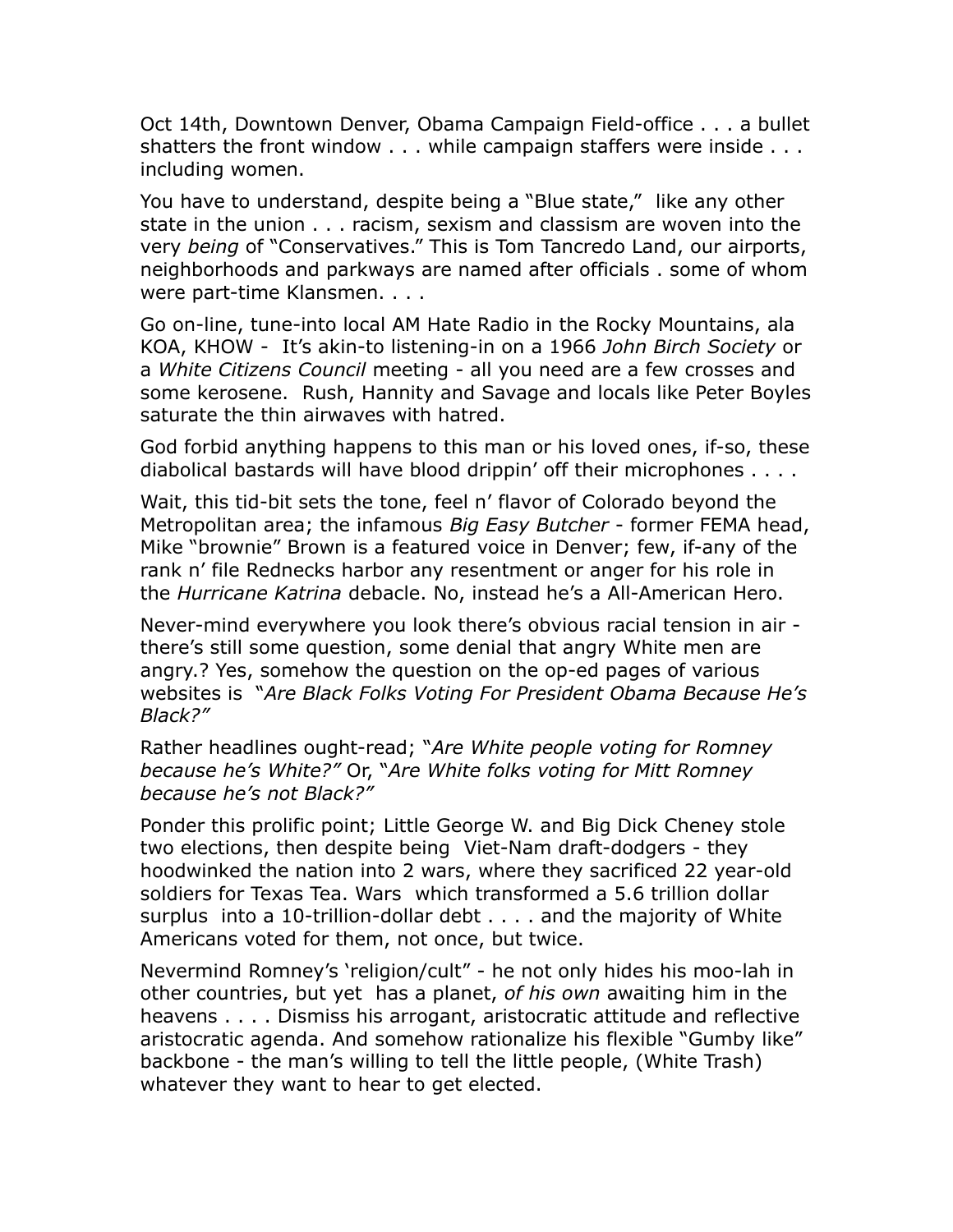Oct 14th, Downtown Denver, Obama Campaign Field-office . . . a bullet shatters the front window . . . while campaign staffers were inside . . . including women.

You have to understand, despite being a "Blue state," like any other state in the union . . . racism, sexism and classism are woven into the very *being* of "Conservatives." This is Tom Tancredo Land, our airports, neighborhoods and parkways are named after officials . some of whom were part-time Klansmen. . . .

Go on-line, tune-into local AM Hate Radio in the Rocky Mountains, ala KOA, KHOW - It's akin-to listening-in on a 1966 *John Birch Society* or a *White Citizens Council* meeting - all you need are a few crosses and some kerosene. Rush, Hannity and Savage and locals like Peter Boyles saturate the thin airwaves with hatred.

God forbid anything happens to this man or his loved ones, if-so, these diabolical bastards will have blood drippin' off their microphones . . . .

Wait, this tid-bit sets the tone, feel n' flavor of Colorado beyond the Metropolitan area; the infamous *Big Easy Butcher* - former FEMA head, Mike "brownie" Brown is a featured voice in Denver; few, if-any of the rank n' file Rednecks harbor any resentment or anger for his role in the *Hurricane Katrina* debacle. No, instead he's a All-American Hero.

Never-mind everywhere you look there's obvious racial tension in air there's still some question, some denial that angry White men are angry.? Yes, somehow the question on the op-ed pages of various websites is "*Are Black Folks Voting For President Obama Because He's Black?"*

Rather headlines ought-read; "*Are White people voting for Romney because he's White?"* Or, "*Are White folks voting for Mitt Romney because he's not Black?"*

Ponder this prolific point; Little George W. and Big Dick Cheney stole two elections, then despite being Viet-Nam draft-dodgers - they hoodwinked the nation into 2 wars, where they sacrificed 22 year-old soldiers for Texas Tea. Wars which transformed a 5.6 trillion dollar surplus into a 10-trillion-dollar debt . . . . and the majority of White Americans voted for them, not once, but twice.

Nevermind Romney's 'religion/cult" - he not only hides his moo-lah in other countries, but yet has a planet, *of his own* awaiting him in the heavens . . . . Dismiss his arrogant, aristocratic attitude and reflective aristocratic agenda. And somehow rationalize his flexible "Gumby like" backbone - the man's willing to tell the little people, (White Trash) whatever they want to hear to get elected.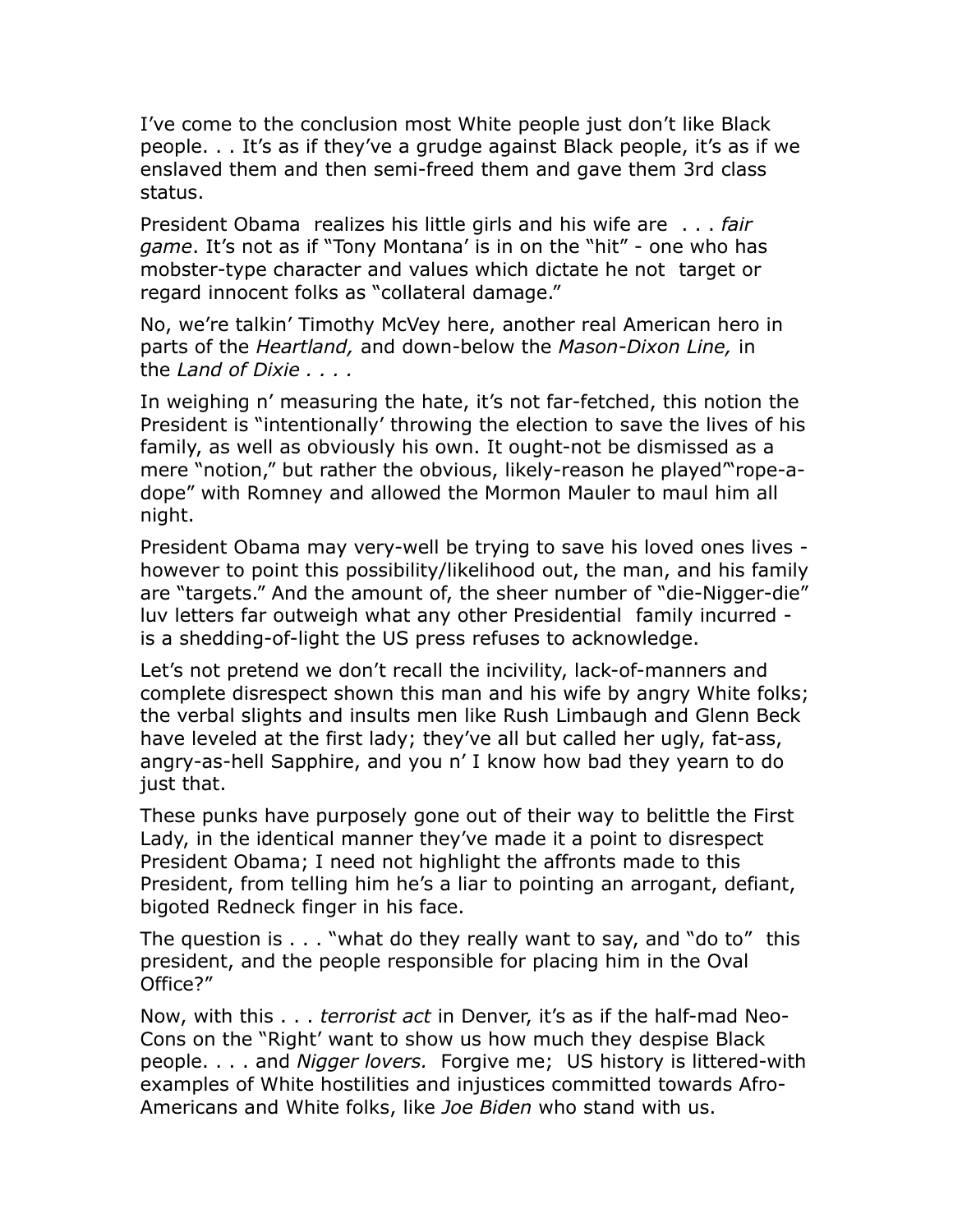I've come to the conclusion most White people just don't like Black people. . . It's as if they've a grudge against Black people, it's as if we enslaved them and then semi-freed them and gave them 3rd class status.

President Obama realizes his little girls and his wife are . . . *fair game*. It's not as if "Tony Montana' is in on the "hit" - one who has mobster-type character and values which dictate he not target or regard innocent folks as "collateral damage."

No, we're talkin' Timothy McVey here, another real American hero in parts of the *Heartland,* and down-below the *Mason-Dixon Line,* in the *Land of Dixie . . . .*

In weighing n' measuring the hate, it's not far-fetched, this notion the President is "intentionally' throwing the election to save the lives of his family, as well as obviously his own. It ought-not be dismissed as a mere "notion," but rather the obvious, likely-reason he played'"rope-adope" with Romney and allowed the Mormon Mauler to maul him all night.

President Obama may very-well be trying to save his loved ones lives however to point this possibility/likelihood out, the man, and his family are "targets." And the amount of, the sheer number of "die-Nigger-die" luv letters far outweigh what any other Presidential family incurred is a shedding-of-light the US press refuses to acknowledge.

Let's not pretend we don't recall the incivility, lack-of-manners and complete disrespect shown this man and his wife by angry White folks; the verbal slights and insults men like Rush Limbaugh and Glenn Beck have leveled at the first lady; they've all but called her ugly, fat-ass, angry-as-hell Sapphire, and you n' I know how bad they yearn to do just that.

These punks have purposely gone out of their way to belittle the First Lady, in the identical manner they've made it a point to disrespect President Obama; I need not highlight the affronts made to this President, from telling him he's a liar to pointing an arrogant, defiant, bigoted Redneck finger in his face.

The question is . . . "what do they really want to say, and "do to" this president, and the people responsible for placing him in the Oval Office?"

Now, with this . . . *terrorist act* in Denver, it's as if the half-mad Neo-Cons on the "Right' want to show us how much they despise Black people. . . . and *Nigger lovers.* Forgive me; US history is littered-with examples of White hostilities and injustices committed towards Afro-Americans and White folks, like *Joe Biden* who stand with us.